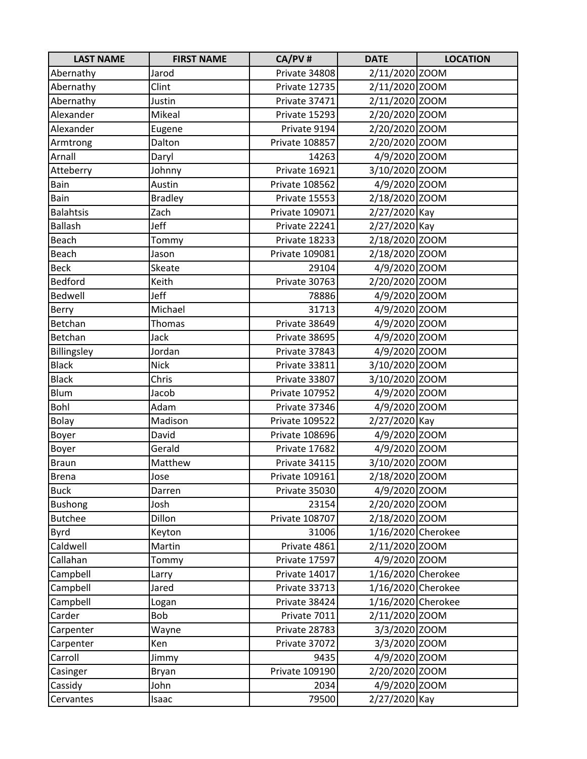| <b>LAST NAME</b> | <b>FIRST NAME</b> | CA/PV#         | <b>DATE</b>        | <b>LOCATION</b> |
|------------------|-------------------|----------------|--------------------|-----------------|
| Abernathy        | Jarod             | Private 34808  | 2/11/2020 ZOOM     |                 |
| Abernathy        | Clint             | Private 12735  | 2/11/2020 ZOOM     |                 |
| Abernathy        | Justin            | Private 37471  | 2/11/2020 ZOOM     |                 |
| Alexander        | Mikeal            | Private 15293  | 2/20/2020 ZOOM     |                 |
| Alexander        | Eugene            | Private 9194   | 2/20/2020 ZOOM     |                 |
| Armtrong         | Dalton            | Private 108857 | 2/20/2020 ZOOM     |                 |
| Arnall           | Daryl             | 14263          | 4/9/2020 ZOOM      |                 |
| Atteberry        | Johnny            | Private 16921  | 3/10/2020 ZOOM     |                 |
| Bain             | Austin            | Private 108562 | 4/9/2020 ZOOM      |                 |
| Bain             | <b>Bradley</b>    | Private 15553  | 2/18/2020 ZOOM     |                 |
| <b>Balahtsis</b> | Zach              | Private 109071 | 2/27/2020 Kay      |                 |
| <b>Ballash</b>   | Jeff              | Private 22241  | 2/27/2020 Kay      |                 |
| Beach            | Tommy             | Private 18233  | 2/18/2020 ZOOM     |                 |
| Beach            | Jason             | Private 109081 | 2/18/2020 ZOOM     |                 |
| <b>Beck</b>      | Skeate            | 29104          | 4/9/2020 ZOOM      |                 |
| Bedford          | Keith             | Private 30763  | 2/20/2020 ZOOM     |                 |
| <b>Bedwell</b>   | Jeff              | 78886          | 4/9/2020 ZOOM      |                 |
| Berry            | Michael           | 31713          | 4/9/2020 ZOOM      |                 |
| Betchan          | Thomas            | Private 38649  | 4/9/2020 ZOOM      |                 |
| Betchan          | Jack              | Private 38695  | 4/9/2020 ZOOM      |                 |
| Billingsley      | Jordan            | Private 37843  | 4/9/2020 ZOOM      |                 |
| <b>Black</b>     | <b>Nick</b>       | Private 33811  | 3/10/2020 ZOOM     |                 |
| <b>Black</b>     | Chris             | Private 33807  | 3/10/2020 ZOOM     |                 |
| Blum             | Jacob             | Private 107952 | 4/9/2020 ZOOM      |                 |
| Bohl             | Adam              | Private 37346  | 4/9/2020 ZOOM      |                 |
| Bolay            | Madison           | Private 109522 | 2/27/2020 Kay      |                 |
| Boyer            | David             | Private 108696 | 4/9/2020 ZOOM      |                 |
| Boyer            | Gerald            | Private 17682  | 4/9/2020 ZOOM      |                 |
| <b>Braun</b>     | Matthew           | Private 34115  | 3/10/2020 ZOOM     |                 |
| <b>Brena</b>     | Jose              | Private 109161 | 2/18/2020 ZOOM     |                 |
| <b>Buck</b>      | Darren            | Private 35030  | 4/9/2020 ZOOM      |                 |
| <b>Bushong</b>   | Josh              | 23154          | 2/20/2020 ZOOM     |                 |
| <b>Butchee</b>   | Dillon            | Private 108707 | 2/18/2020 ZOOM     |                 |
| Byrd             | Keyton            | 31006          | 1/16/2020 Cherokee |                 |
| Caldwell         | Martin            | Private 4861   | 2/11/2020 ZOOM     |                 |
| Callahan         | Tommy             | Private 17597  | 4/9/2020 ZOOM      |                 |
| Campbell         | Larry             | Private 14017  | 1/16/2020 Cherokee |                 |
| Campbell         | Jared             | Private 33713  | 1/16/2020 Cherokee |                 |
| Campbell         | Logan             | Private 38424  | 1/16/2020 Cherokee |                 |
| Carder           | Bob               | Private 7011   | 2/11/2020 ZOOM     |                 |
| Carpenter        | Wayne             | Private 28783  | 3/3/2020 ZOOM      |                 |
| Carpenter        | Ken               | Private 37072  | 3/3/2020 ZOOM      |                 |
| Carroll          | Jimmy             | 9435           | 4/9/2020 ZOOM      |                 |
| Casinger         | Bryan             | Private 109190 | 2/20/2020 ZOOM     |                 |
| Cassidy          | John              | 2034           | 4/9/2020 ZOOM      |                 |
| Cervantes        | Isaac             | 79500          | 2/27/2020 Kay      |                 |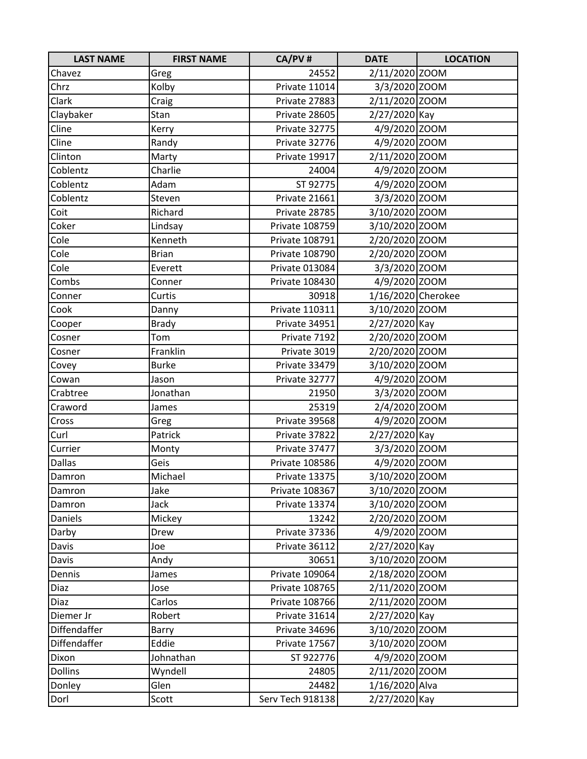| <b>LAST NAME</b> | <b>FIRST NAME</b> | CA/PV#           | <b>DATE</b>        | <b>LOCATION</b> |
|------------------|-------------------|------------------|--------------------|-----------------|
| Chavez           | Greg              | 24552            | 2/11/2020 ZOOM     |                 |
| Chrz             | Kolby             | Private 11014    | 3/3/2020 ZOOM      |                 |
| Clark            | Craig             | Private 27883    | 2/11/2020 ZOOM     |                 |
| Claybaker        | Stan              | Private 28605    | 2/27/2020 Kay      |                 |
| Cline            | Kerry             | Private 32775    | 4/9/2020 ZOOM      |                 |
| Cline            | Randy             | Private 32776    | 4/9/2020 ZOOM      |                 |
| Clinton          | Marty             | Private 19917    | 2/11/2020 ZOOM     |                 |
| Coblentz         | Charlie           | 24004            | 4/9/2020 ZOOM      |                 |
| Coblentz         | Adam              | ST 92775         | 4/9/2020 ZOOM      |                 |
| Coblentz         | Steven            | Private 21661    | 3/3/2020 ZOOM      |                 |
| Coit             | Richard           | Private 28785    | 3/10/2020 ZOOM     |                 |
| Coker            | Lindsay           | Private 108759   | 3/10/2020 ZOOM     |                 |
| Cole             | Kenneth           | Private 108791   | 2/20/2020 ZOOM     |                 |
| Cole             | <b>Brian</b>      | Private 108790   | 2/20/2020 ZOOM     |                 |
| Cole             | Everett           | Private 013084   | 3/3/2020 ZOOM      |                 |
| Combs            | Conner            | Private 108430   | 4/9/2020 ZOOM      |                 |
| Conner           | Curtis            | 30918            | 1/16/2020 Cherokee |                 |
| Cook             | Danny             | Private 110311   | 3/10/2020 ZOOM     |                 |
| Cooper           | <b>Brady</b>      | Private 34951    | 2/27/2020 Kay      |                 |
| Cosner           | Tom               | Private 7192     | 2/20/2020 ZOOM     |                 |
| Cosner           | Franklin          | Private 3019     | 2/20/2020 ZOOM     |                 |
| Covey            | <b>Burke</b>      | Private 33479    | 3/10/2020 ZOOM     |                 |
| Cowan            | Jason             | Private 32777    | 4/9/2020 ZOOM      |                 |
| Crabtree         | Jonathan          | 21950            | 3/3/2020 ZOOM      |                 |
| Craword          | James             | 25319            | 2/4/2020 ZOOM      |                 |
| Cross            | Greg              | Private 39568    | 4/9/2020 ZOOM      |                 |
| Curl             | Patrick           | Private 37822    | 2/27/2020 Kay      |                 |
| Currier          | Monty             | Private 37477    | 3/3/2020 ZOOM      |                 |
| Dallas           | Geis              | Private 108586   | 4/9/2020 ZOOM      |                 |
| Damron           | Michael           | Private 13375    | 3/10/2020 ZOOM     |                 |
| Damron           | Jake              | Private 108367   | 3/10/2020 ZOOM     |                 |
| Damron           | Jack              | Private 13374    | 3/10/2020 ZOOM     |                 |
| Daniels          | Mickey            | 13242            | 2/20/2020 ZOOM     |                 |
| Darby            | Drew              | Private 37336    | 4/9/2020 ZOOM      |                 |
| Davis            | Joe               | Private 36112    | 2/27/2020 Kay      |                 |
| Davis            | Andy              | 30651            | 3/10/2020 ZOOM     |                 |
| Dennis           | James             | Private 109064   | 2/18/2020 ZOOM     |                 |
| Diaz             | Jose              | Private 108765   | 2/11/2020 ZOOM     |                 |
| Diaz             | Carlos            | Private 108766   | 2/11/2020 ZOOM     |                 |
| Diemer Jr        | Robert            | Private 31614    | 2/27/2020 Kay      |                 |
| Diffendaffer     | Barry             | Private 34696    | 3/10/2020 ZOOM     |                 |
| Diffendaffer     | Eddie             | Private 17567    | 3/10/2020 ZOOM     |                 |
| Dixon            | Johnathan         | ST 922776        | 4/9/2020 ZOOM      |                 |
| <b>Dollins</b>   | Wyndell           | 24805            | 2/11/2020 ZOOM     |                 |
| Donley           | Glen              | 24482            | 1/16/2020 Alva     |                 |
| Dorl             | Scott             | Serv Tech 918138 | 2/27/2020 Kay      |                 |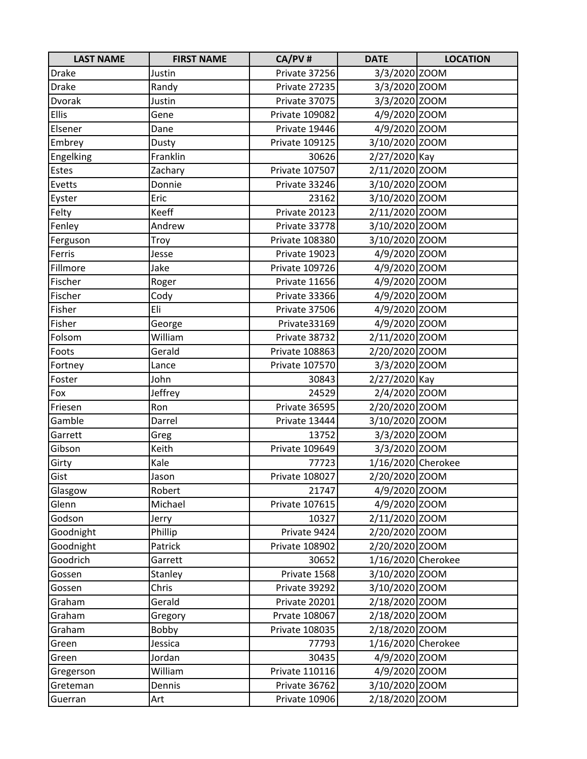| <b>LAST NAME</b> | <b>FIRST NAME</b> | CA/PV#         | <b>DATE</b>        | <b>LOCATION</b> |
|------------------|-------------------|----------------|--------------------|-----------------|
| <b>Drake</b>     | Justin            | Private 37256  | 3/3/2020 ZOOM      |                 |
| <b>Drake</b>     | Randy             | Private 27235  | 3/3/2020 ZOOM      |                 |
| Dvorak           | Justin            | Private 37075  | 3/3/2020 ZOOM      |                 |
| <b>Ellis</b>     | Gene              | Private 109082 | 4/9/2020 ZOOM      |                 |
| Elsener          | Dane              | Private 19446  | 4/9/2020 ZOOM      |                 |
| Embrey           | Dusty             | Private 109125 | 3/10/2020 ZOOM     |                 |
| Engelking        | Franklin          | 30626          | 2/27/2020 Kay      |                 |
| Estes            | Zachary           | Private 107507 | 2/11/2020 ZOOM     |                 |
| Evetts           | Donnie            | Private 33246  | 3/10/2020 ZOOM     |                 |
| Eyster           | Eric              | 23162          | 3/10/2020 ZOOM     |                 |
| Felty            | Keeff             | Private 20123  | 2/11/2020 ZOOM     |                 |
| Fenley           | Andrew            | Private 33778  | 3/10/2020 ZOOM     |                 |
| Ferguson         | Troy              | Private 108380 | 3/10/2020 ZOOM     |                 |
| Ferris           | Jesse             | Private 19023  | 4/9/2020 ZOOM      |                 |
| Fillmore         | Jake              | Private 109726 | 4/9/2020 ZOOM      |                 |
| Fischer          | Roger             | Private 11656  | 4/9/2020 ZOOM      |                 |
| Fischer          | Cody              | Private 33366  | 4/9/2020 ZOOM      |                 |
| Fisher           | Eli               | Private 37506  | 4/9/2020 ZOOM      |                 |
| Fisher           | George            | Private33169   | 4/9/2020 ZOOM      |                 |
| Folsom           | William           | Private 38732  | 2/11/2020 ZOOM     |                 |
| Foots            | Gerald            | Private 108863 | 2/20/2020 ZOOM     |                 |
| Fortney          | Lance             | Private 107570 | 3/3/2020 ZOOM      |                 |
| Foster           | John              | 30843          | 2/27/2020 Kay      |                 |
| Fox              | Jeffrey           | 24529          | 2/4/2020 ZOOM      |                 |
| Friesen          | Ron               | Private 36595  | 2/20/2020 ZOOM     |                 |
| Gamble           | Darrel            | Private 13444  | 3/10/2020 ZOOM     |                 |
| Garrett          | Greg              | 13752          | 3/3/2020 ZOOM      |                 |
| Gibson           | Keith             | Private 109649 | 3/3/2020 ZOOM      |                 |
| Girty            | Kale              | 77723          | 1/16/2020 Cherokee |                 |
| Gist             | Jason             | Private 108027 | 2/20/2020 ZOOM     |                 |
| Glasgow          | Robert            | 21747          | 4/9/2020 ZOOM      |                 |
| Glenn            | Michael           | Private 107615 | 4/9/2020 ZOOM      |                 |
| Godson           | Jerry             | 10327          | 2/11/2020 ZOOM     |                 |
| Goodnight        | Phillip           | Private 9424   | 2/20/2020 ZOOM     |                 |
| Goodnight        | Patrick           | Private 108902 | 2/20/2020 ZOOM     |                 |
| Goodrich         | Garrett           | 30652          | 1/16/2020 Cherokee |                 |
| Gossen           | Stanley           | Private 1568   | 3/10/2020 ZOOM     |                 |
| Gossen           | Chris             | Private 39292  | 3/10/2020 ZOOM     |                 |
| Graham           | Gerald            | Private 20201  | 2/18/2020 ZOOM     |                 |
| Graham           | Gregory           | Prvate 108067  | 2/18/2020 ZOOM     |                 |
| Graham           | Bobby             | Private 108035 | 2/18/2020 ZOOM     |                 |
| Green            | Jessica           | 77793          | 1/16/2020 Cherokee |                 |
| Green            | Jordan            | 30435          | 4/9/2020 ZOOM      |                 |
| Gregerson        | William           | Private 110116 | 4/9/2020 ZOOM      |                 |
| Greteman         | Dennis            | Private 36762  | 3/10/2020 ZOOM     |                 |
| Guerran          | Art               | Private 10906  | 2/18/2020 ZOOM     |                 |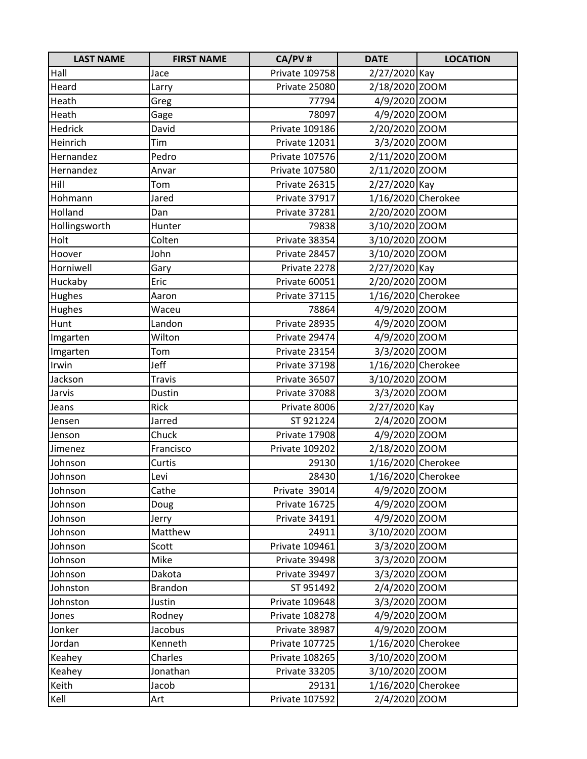| <b>LAST NAME</b> | <b>FIRST NAME</b> | CA/PV#         | <b>DATE</b>        | <b>LOCATION</b> |
|------------------|-------------------|----------------|--------------------|-----------------|
| Hall             | Jace              | Private 109758 | 2/27/2020 Kay      |                 |
| Heard            | Larry             | Private 25080  | 2/18/2020 ZOOM     |                 |
| Heath            | Greg              | 77794          | 4/9/2020 ZOOM      |                 |
| Heath            | Gage              | 78097          | 4/9/2020 ZOOM      |                 |
| Hedrick          | David             | Private 109186 | 2/20/2020 ZOOM     |                 |
| Heinrich         | Tim               | Private 12031  | 3/3/2020 ZOOM      |                 |
| Hernandez        | Pedro             | Private 107576 | 2/11/2020 ZOOM     |                 |
| Hernandez        | Anvar             | Private 107580 | 2/11/2020 ZOOM     |                 |
| Hill             | Tom               | Private 26315  | 2/27/2020 Kay      |                 |
| Hohmann          | Jared             | Private 37917  | 1/16/2020 Cherokee |                 |
| Holland          | Dan               | Private 37281  | 2/20/2020 ZOOM     |                 |
| Hollingsworth    | Hunter            | 79838          | 3/10/2020 ZOOM     |                 |
| Holt             | Colten            | Private 38354  | 3/10/2020 ZOOM     |                 |
| Hoover           | John              | Private 28457  | 3/10/2020 ZOOM     |                 |
| Horniwell        | Gary              | Private 2278   | 2/27/2020 Kay      |                 |
| Huckaby          | Eric              | Private 60051  | 2/20/2020 ZOOM     |                 |
| Hughes           | Aaron             | Private 37115  | 1/16/2020 Cherokee |                 |
| Hughes           | Waceu             | 78864          | 4/9/2020 ZOOM      |                 |
| Hunt             | Landon            | Private 28935  | 4/9/2020 ZOOM      |                 |
| Imgarten         | Wilton            | Private 29474  | 4/9/2020 ZOOM      |                 |
| Imgarten         | Tom               | Private 23154  | 3/3/2020 ZOOM      |                 |
| Irwin            | Jeff              | Private 37198  | 1/16/2020 Cherokee |                 |
| Jackson          | <b>Travis</b>     | Private 36507  | 3/10/2020 ZOOM     |                 |
| Jarvis           | Dustin            | Private 37088  | 3/3/2020 ZOOM      |                 |
| Jeans            | Rick              | Private 8006   | 2/27/2020 Kay      |                 |
| Jensen           | Jarred            | ST 921224      | 2/4/2020 ZOOM      |                 |
| Jenson           | Chuck             | Private 17908  | 4/9/2020 ZOOM      |                 |
| Jimenez          | Francisco         | Private 109202 | 2/18/2020 ZOOM     |                 |
| Johnson          | Curtis            | 29130          | 1/16/2020 Cherokee |                 |
| Johnson          | Levi              | 28430          | 1/16/2020 Cherokee |                 |
| Johnson          | Cathe             | Private 39014  | 4/9/2020 ZOOM      |                 |
| Johnson          | Doug              | Private 16725  | 4/9/2020 ZOOM      |                 |
| Johnson          | Jerry             | Private 34191  | 4/9/2020 ZOOM      |                 |
| Johnson          | Matthew           | 24911          | 3/10/2020 ZOOM     |                 |
| Johnson          | Scott             | Private 109461 | 3/3/2020 ZOOM      |                 |
| Johnson          | Mike              | Private 39498  | 3/3/2020 ZOOM      |                 |
| Johnson          | Dakota            | Private 39497  | 3/3/2020 ZOOM      |                 |
| Johnston         | <b>Brandon</b>    | ST 951492      | 2/4/2020 ZOOM      |                 |
| Johnston         | Justin            | Private 109648 | 3/3/2020 ZOOM      |                 |
| Jones            | Rodney            | Private 108278 | 4/9/2020 ZOOM      |                 |
| Jonker           | Jacobus           | Private 38987  | 4/9/2020 ZOOM      |                 |
| Jordan           | Kenneth           | Private 107725 | 1/16/2020 Cherokee |                 |
| Keahey           | Charles           | Private 108265 | 3/10/2020 ZOOM     |                 |
| Keahey           | Jonathan          | Private 33205  | 3/10/2020 ZOOM     |                 |
| Keith            | Jacob             | 29131          | 1/16/2020 Cherokee |                 |
| Kell             | Art               | Private 107592 | 2/4/2020 ZOOM      |                 |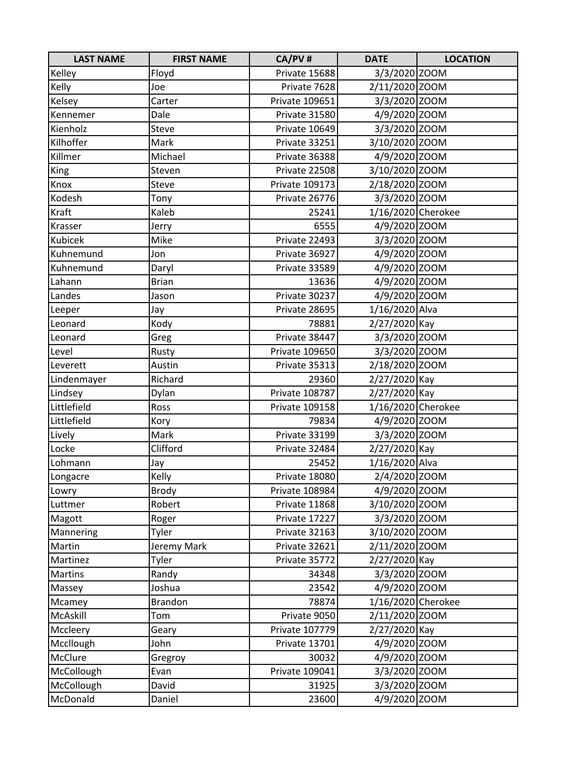| <b>LAST NAME</b> | <b>FIRST NAME</b> | CA/PV#         | <b>DATE</b>        | <b>LOCATION</b> |
|------------------|-------------------|----------------|--------------------|-----------------|
| Kelley           | Floyd             | Private 15688  | 3/3/2020 ZOOM      |                 |
| Kelly            | Joe               | Private 7628   | 2/11/2020 ZOOM     |                 |
| Kelsey           | Carter            | Private 109651 | 3/3/2020 ZOOM      |                 |
| Kennemer         | Dale              | Private 31580  | 4/9/2020 ZOOM      |                 |
| Kienholz         | Steve             | Private 10649  | 3/3/2020 ZOOM      |                 |
| Kilhoffer        | Mark              | Private 33251  | 3/10/2020 ZOOM     |                 |
| Killmer          | Michael           | Private 36388  | 4/9/2020 ZOOM      |                 |
| <b>King</b>      | Steven            | Private 22508  | 3/10/2020 ZOOM     |                 |
| Knox             | Steve             | Private 109173 | 2/18/2020 ZOOM     |                 |
| Kodesh           | Tony              | Private 26776  | 3/3/2020 ZOOM      |                 |
| Kraft            | Kaleb             | 25241          | 1/16/2020 Cherokee |                 |
| Krasser          | Jerry             | 6555           | 4/9/2020 ZOOM      |                 |
| Kubicek          | Mike              | Private 22493  | 3/3/2020 ZOOM      |                 |
| Kuhnemund        | Jon               | Private 36927  | 4/9/2020 ZOOM      |                 |
| Kuhnemund        | Daryl             | Private 33589  | 4/9/2020 ZOOM      |                 |
| Lahann           | <b>Brian</b>      | 13636          | 4/9/2020 ZOOM      |                 |
| Landes           | Jason             | Private 30237  | 4/9/2020 ZOOM      |                 |
| Leeper           | Jay               | Private 28695  | 1/16/2020 Alva     |                 |
| Leonard          | Kody              | 78881          | 2/27/2020 Kay      |                 |
| Leonard          | Greg              | Private 38447  | 3/3/2020 ZOOM      |                 |
| Level            | Rusty             | Private 109650 | 3/3/2020 ZOOM      |                 |
| Leverett         | Austin            | Private 35313  | 2/18/2020 ZOOM     |                 |
| Lindenmayer      | Richard           | 29360          | 2/27/2020 Kay      |                 |
| Lindsey          | Dylan             | Private 108787 | 2/27/2020 Kay      |                 |
| Littlefield      | Ross              | Private 109158 | 1/16/2020 Cherokee |                 |
| Littlefield      | Kory              | 79834          | 4/9/2020 ZOOM      |                 |
| Lively           | Mark              | Private 33199  | 3/3/2020 ZOOM      |                 |
| Locke            | Clifford          | Private 32484  | 2/27/2020 Kay      |                 |
| Lohmann          | Jay               | 25452          | 1/16/2020 Alva     |                 |
| Longacre         | Kelly             | Private 18080  | 2/4/2020 ZOOM      |                 |
| Lowry            | <b>Brody</b>      | Private 108984 | 4/9/2020 ZOOM      |                 |
| Luttmer          | Robert            | Private 11868  | 3/10/2020 ZOOM     |                 |
| Magott           | Roger             | Private 17227  | 3/3/2020 ZOOM      |                 |
| Mannering        | Tyler             | Private 32163  | 3/10/2020 ZOOM     |                 |
| Martin           | Jeremy Mark       | Private 32621  | 2/11/2020 ZOOM     |                 |
| Martinez         | Tyler             | Private 35772  | 2/27/2020 Kay      |                 |
| Martins          | Randy             | 34348          | 3/3/2020 ZOOM      |                 |
| Massey           | Joshua            | 23542          | 4/9/2020 ZOOM      |                 |
| Mcamey           | <b>Brandon</b>    | 78874          | 1/16/2020 Cherokee |                 |
| McAskill         | Tom               | Private 9050   | 2/11/2020 ZOOM     |                 |
| Mccleery         | Geary             | Private 107779 | 2/27/2020 Kay      |                 |
| Mccllough        | John              | Private 13701  | 4/9/2020 ZOOM      |                 |
| McClure          | Gregroy           | 30032          | 4/9/2020 ZOOM      |                 |
| McCollough       | Evan              | Private 109041 | 3/3/2020 ZOOM      |                 |
| McCollough       | David             | 31925          | 3/3/2020 ZOOM      |                 |
| McDonald         | Daniel            | 23600          | 4/9/2020 ZOOM      |                 |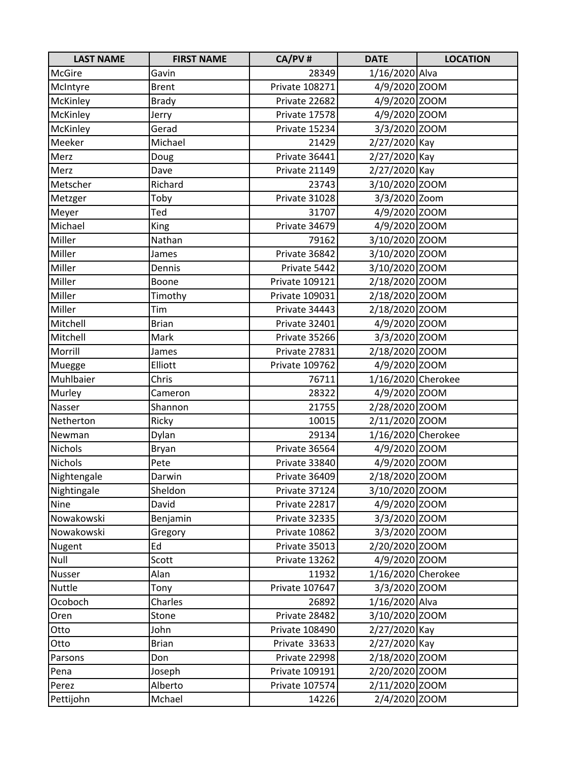| <b>LAST NAME</b> | <b>FIRST NAME</b> | CA/PV#         | <b>DATE</b>        | <b>LOCATION</b> |
|------------------|-------------------|----------------|--------------------|-----------------|
| <b>McGire</b>    | Gavin             | 28349          | 1/16/2020 Alva     |                 |
| McIntyre         | <b>Brent</b>      | Private 108271 | 4/9/2020 ZOOM      |                 |
| McKinley         | <b>Brady</b>      | Private 22682  | 4/9/2020 ZOOM      |                 |
| McKinley         | Jerry             | Private 17578  | 4/9/2020 ZOOM      |                 |
| McKinley         | Gerad             | Private 15234  | 3/3/2020 ZOOM      |                 |
| Meeker           | Michael           | 21429          | 2/27/2020 Kay      |                 |
| Merz             | Doug              | Private 36441  | 2/27/2020 Kay      |                 |
| Merz             | Dave              | Private 21149  | 2/27/2020 Kay      |                 |
| Metscher         | Richard           | 23743          | 3/10/2020 ZOOM     |                 |
| Metzger          | Toby              | Private 31028  | 3/3/2020 Zoom      |                 |
| Meyer            | Ted               | 31707          | 4/9/2020 ZOOM      |                 |
| Michael          | <b>King</b>       | Private 34679  | 4/9/2020 ZOOM      |                 |
| Miller           | Nathan            | 79162          | 3/10/2020 ZOOM     |                 |
| Miller           | James             | Private 36842  | 3/10/2020 ZOOM     |                 |
| Miller           | Dennis            | Private 5442   | 3/10/2020 ZOOM     |                 |
| Miller           | Boone             | Private 109121 | 2/18/2020 ZOOM     |                 |
| Miller           | Timothy           | Private 109031 | 2/18/2020 ZOOM     |                 |
| Miller           | Tim               | Private 34443  | 2/18/2020 ZOOM     |                 |
| Mitchell         | <b>Brian</b>      | Private 32401  | 4/9/2020 ZOOM      |                 |
| Mitchell         | Mark              | Private 35266  | 3/3/2020 ZOOM      |                 |
| Morrill          | James             | Private 27831  | 2/18/2020 ZOOM     |                 |
| Muegge           | Elliott           | Private 109762 | 4/9/2020 ZOOM      |                 |
| Muhlbaier        | Chris             | 76711          | 1/16/2020 Cherokee |                 |
| Murley           | Cameron           | 28322          | 4/9/2020 ZOOM      |                 |
| Nasser           | Shannon           | 21755          | 2/28/2020 ZOOM     |                 |
| Netherton        | Ricky             | 10015          | 2/11/2020 ZOOM     |                 |
| Newman           | Dylan             | 29134          | 1/16/2020 Cherokee |                 |
| Nichols          | Bryan             | Private 36564  | 4/9/2020 ZOOM      |                 |
| Nichols          | Pete              | Private 33840  | 4/9/2020 ZOOM      |                 |
| Nightengale      | Darwin            | Private 36409  | 2/18/2020 ZOOM     |                 |
| Nightingale      | Sheldon           | Private 37124  | 3/10/2020 ZOOM     |                 |
| Nine             | David             | Private 22817  | 4/9/2020 ZOOM      |                 |
| Nowakowski       | Benjamin          | Private 32335  | 3/3/2020 ZOOM      |                 |
| Nowakowski       | Gregory           | Private 10862  | 3/3/2020 ZOOM      |                 |
| Nugent           | Ed                | Private 35013  | 2/20/2020 ZOOM     |                 |
| Null             | Scott             | Private 13262  | 4/9/2020 ZOOM      |                 |
| Nusser           | Alan              | 11932          | 1/16/2020 Cherokee |                 |
| Nuttle           | Tony              | Private 107647 | 3/3/2020 ZOOM      |                 |
| Ocoboch          | Charles           | 26892          | 1/16/2020 Alva     |                 |
| Oren             | Stone             | Private 28482  | 3/10/2020 ZOOM     |                 |
| Otto             | John              | Private 108490 | 2/27/2020 Kay      |                 |
| Otto             | <b>Brian</b>      | Private 33633  | 2/27/2020 Kay      |                 |
| Parsons          | Don               | Private 22998  | 2/18/2020 ZOOM     |                 |
| Pena             | Joseph            | Private 109191 | 2/20/2020 ZOOM     |                 |
| Perez            | Alberto           | Private 107574 | 2/11/2020 ZOOM     |                 |
| Pettijohn        | Mchael            | 14226          | 2/4/2020 ZOOM      |                 |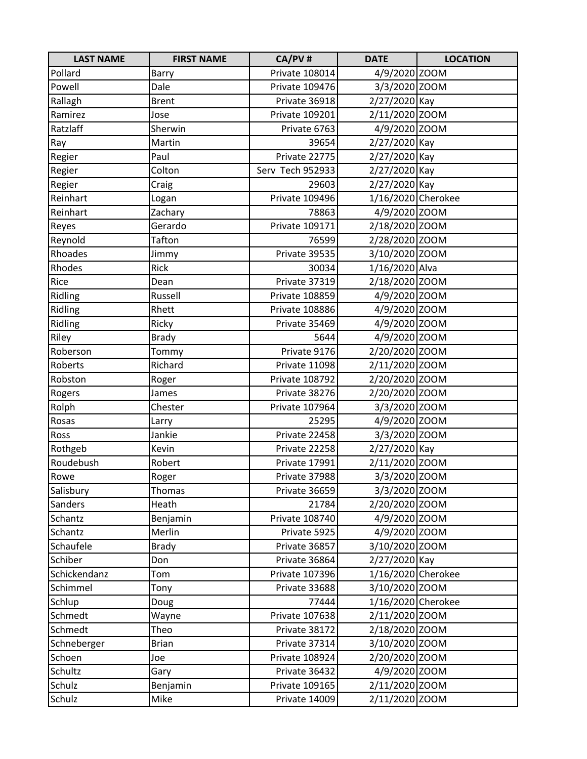| <b>LAST NAME</b> | <b>FIRST NAME</b> | CA/PV#           | <b>DATE</b>        | <b>LOCATION</b> |
|------------------|-------------------|------------------|--------------------|-----------------|
| Pollard          | <b>Barry</b>      | Private 108014   | 4/9/2020 ZOOM      |                 |
| Powell           | Dale              | Private 109476   | 3/3/2020 ZOOM      |                 |
| Rallagh          | <b>Brent</b>      | Private 36918    | 2/27/2020 Kay      |                 |
| Ramirez          | Jose              | Private 109201   | 2/11/2020 ZOOM     |                 |
| Ratzlaff         | Sherwin           | Private 6763     | 4/9/2020 ZOOM      |                 |
| Ray              | Martin            | 39654            | 2/27/2020 Kay      |                 |
| Regier           | Paul              | Private 22775    | 2/27/2020 Kay      |                 |
| Regier           | Colton            | Serv Tech 952933 | 2/27/2020 Kay      |                 |
| Regier           | Craig             | 29603            | 2/27/2020 Kay      |                 |
| Reinhart         | Logan             | Private 109496   | 1/16/2020 Cherokee |                 |
| Reinhart         | Zachary           | 78863            | 4/9/2020 ZOOM      |                 |
| Reyes            | Gerardo           | Private 109171   | 2/18/2020 ZOOM     |                 |
| Reynold          | Tafton            | 76599            | 2/28/2020 ZOOM     |                 |
| Rhoades          | Jimmy             | Private 39535    | 3/10/2020 ZOOM     |                 |
| Rhodes           | <b>Rick</b>       | 30034            | 1/16/2020 Alva     |                 |
| Rice             | Dean              | Private 37319    | 2/18/2020 ZOOM     |                 |
| Ridling          | Russell           | Private 108859   | 4/9/2020 ZOOM      |                 |
| Ridling          | Rhett             | Private 108886   | 4/9/2020 ZOOM      |                 |
| Ridling          | Ricky             | Private 35469    | 4/9/2020 ZOOM      |                 |
| Riley            | <b>Brady</b>      | 5644             | 4/9/2020 ZOOM      |                 |
| Roberson         | Tommy             | Private 9176     | 2/20/2020 ZOOM     |                 |
| Roberts          | Richard           | Private 11098    | 2/11/2020 ZOOM     |                 |
| Robston          | Roger             | Private 108792   | 2/20/2020 ZOOM     |                 |
| Rogers           | James             | Private 38276    | 2/20/2020 ZOOM     |                 |
| Rolph            | Chester           | Private 107964   | 3/3/2020 ZOOM      |                 |
| Rosas            | Larry             | 25295            | 4/9/2020 ZOOM      |                 |
| Ross             | Jankie            | Private 22458    | 3/3/2020 ZOOM      |                 |
| Rothgeb          | Kevin             | Private 22258    | 2/27/2020 Kay      |                 |
| Roudebush        | Robert            | Private 17991    | 2/11/2020 ZOOM     |                 |
| Rowe             | Roger             | Private 37988    | 3/3/2020 ZOOM      |                 |
| Salisbury        | <b>Thomas</b>     | Private 36659    | 3/3/2020 ZOOM      |                 |
| Sanders          | Heath             | 21784            | 2/20/2020 ZOOM     |                 |
| Schantz          | Benjamin          | Private 108740   | 4/9/2020 ZOOM      |                 |
| Schantz          | Merlin            | Private 5925     | 4/9/2020 ZOOM      |                 |
| Schaufele        | <b>Brady</b>      | Private 36857    | 3/10/2020 ZOOM     |                 |
| Schiber          | Don               | Private 36864    | 2/27/2020 Kay      |                 |
| Schickendanz     | Tom               | Private 107396   | 1/16/2020 Cherokee |                 |
| Schimmel         | Tony              | Private 33688    | 3/10/2020 ZOOM     |                 |
| Schlup           | Doug              | 77444            | 1/16/2020 Cherokee |                 |
| Schmedt          | Wayne             | Private 107638   | 2/11/2020 ZOOM     |                 |
| Schmedt          | Theo              | Private 38172    | 2/18/2020 ZOOM     |                 |
| Schneberger      | <b>Brian</b>      | Private 37314    | 3/10/2020 ZOOM     |                 |
| Schoen           | Joe               | Private 108924   | 2/20/2020 ZOOM     |                 |
| Schultz          | Gary              | Private 36432    | 4/9/2020 ZOOM      |                 |
| Schulz           | Benjamin          | Private 109165   | 2/11/2020 ZOOM     |                 |
| Schulz           | Mike              | Private 14009    | 2/11/2020 ZOOM     |                 |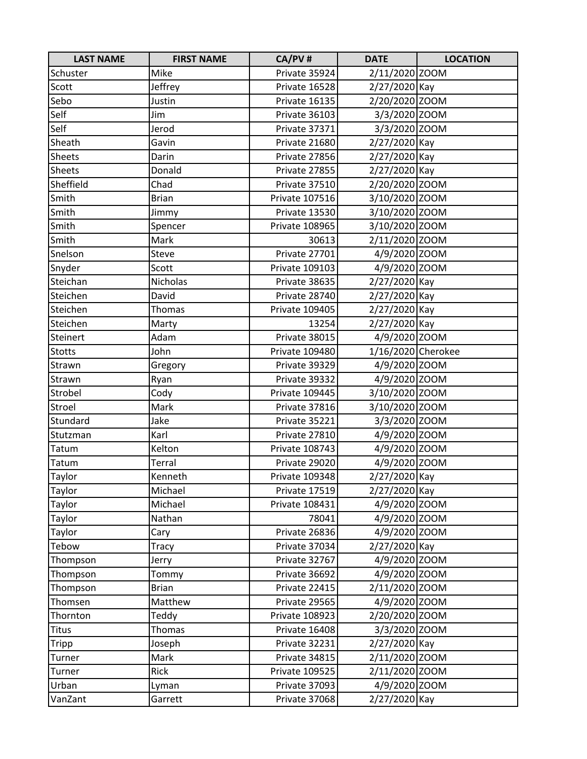| <b>LAST NAME</b> | <b>FIRST NAME</b> | CA/PV#         | <b>DATE</b>        | <b>LOCATION</b> |
|------------------|-------------------|----------------|--------------------|-----------------|
| Schuster         | Mike              | Private 35924  | 2/11/2020 ZOOM     |                 |
| Scott            | Jeffrey           | Private 16528  | 2/27/2020 Kay      |                 |
| Sebo             | Justin            | Private 16135  | 2/20/2020 ZOOM     |                 |
| Self             | Jim               | Private 36103  | 3/3/2020 ZOOM      |                 |
| Self             | Jerod             | Private 37371  | 3/3/2020 ZOOM      |                 |
| Sheath           | Gavin             | Private 21680  | 2/27/2020 Kay      |                 |
| Sheets           | Darin             | Private 27856  | 2/27/2020 Kay      |                 |
| Sheets           | Donald            | Private 27855  | 2/27/2020 Kay      |                 |
| Sheffield        | Chad              | Private 37510  | 2/20/2020 ZOOM     |                 |
| Smith            | <b>Brian</b>      | Private 107516 | 3/10/2020 ZOOM     |                 |
| Smith            | Jimmy             | Private 13530  | 3/10/2020 ZOOM     |                 |
| Smith            | Spencer           | Private 108965 | 3/10/2020 ZOOM     |                 |
| Smith            | Mark              | 30613          | 2/11/2020 ZOOM     |                 |
| Snelson          | Steve             | Private 27701  | 4/9/2020 ZOOM      |                 |
| Snyder           | Scott             | Private 109103 | 4/9/2020 ZOOM      |                 |
| Steichan         | Nicholas          | Private 38635  | 2/27/2020 Kay      |                 |
| Steichen         | David             | Private 28740  | 2/27/2020 Kay      |                 |
| Steichen         | Thomas            | Private 109405 | 2/27/2020 Kay      |                 |
| Steichen         | Marty             | 13254          | 2/27/2020 Kay      |                 |
| Steinert         | Adam              | Private 38015  | 4/9/2020 ZOOM      |                 |
| <b>Stotts</b>    | John              | Private 109480 | 1/16/2020 Cherokee |                 |
| Strawn           | Gregory           | Private 39329  | 4/9/2020 ZOOM      |                 |
| Strawn           | Ryan              | Private 39332  | 4/9/2020 ZOOM      |                 |
| Strobel          | Cody              | Private 109445 | 3/10/2020 ZOOM     |                 |
| Stroel           | Mark              | Private 37816  | 3/10/2020 ZOOM     |                 |
| Stundard         | Jake              | Private 35221  | 3/3/2020 ZOOM      |                 |
| Stutzman         | Karl              | Private 27810  | 4/9/2020 ZOOM      |                 |
| Tatum            | Kelton            | Private 108743 | 4/9/2020 ZOOM      |                 |
| Tatum            | Terral            | Private 29020  | 4/9/2020 ZOOM      |                 |
| Taylor           | Kenneth           | Private 109348 | 2/27/2020 Kay      |                 |
| Taylor           | Michael           | Private 17519  | 2/27/2020 Kay      |                 |
| Taylor           | Michael           | Private 108431 | 4/9/2020 ZOOM      |                 |
| Taylor           | Nathan            | 78041          | 4/9/2020 ZOOM      |                 |
| Taylor           | Cary              | Private 26836  | 4/9/2020 ZOOM      |                 |
| Tebow            | Tracy             | Private 37034  | 2/27/2020 Kay      |                 |
| Thompson         | Jerry             | Private 32767  | 4/9/2020 ZOOM      |                 |
| Thompson         | Tommy             | Private 36692  | 4/9/2020 ZOOM      |                 |
| Thompson         | <b>Brian</b>      | Private 22415  | 2/11/2020 ZOOM     |                 |
| Thomsen          | Matthew           | Private 29565  | 4/9/2020 ZOOM      |                 |
| Thornton         | Teddy             | Private 108923 | 2/20/2020 ZOOM     |                 |
| <b>Titus</b>     | <b>Thomas</b>     | Private 16408  | 3/3/2020 ZOOM      |                 |
| Tripp            | Joseph            | Private 32231  | 2/27/2020 Kay      |                 |
| Turner           | Mark              | Private 34815  | 2/11/2020 ZOOM     |                 |
| Turner           | Rick              | Private 109525 | 2/11/2020 ZOOM     |                 |
| Urban            | Lyman             | Private 37093  | 4/9/2020 ZOOM      |                 |
| VanZant          | Garrett           | Private 37068  | 2/27/2020 Kay      |                 |